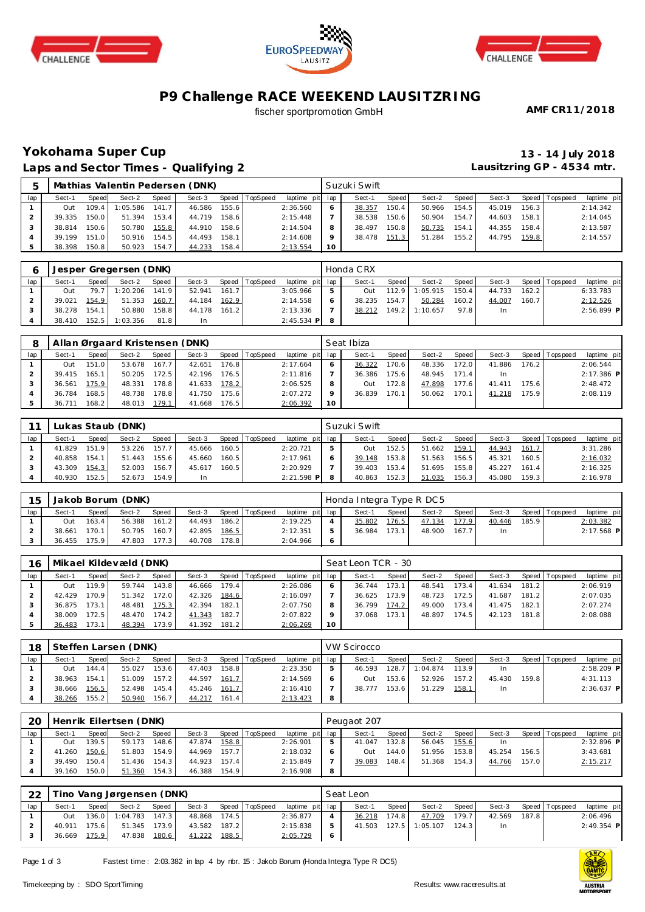





# **P9 Challenge RACE WEEKEND LAUSITZRING**

fischer sportpromotion GmbH

**AMF CR11/2018**

#### **Yokohama Super Cup 13 - 14 July 2018 Laps and Sector Times - Qualifying 2**

**Lausitzring GP - 4534 mtr.**

| 5   |            |       |          |       | Mathias Valentin Pedersen (DNK) |       |                |                 |    | Suzuki Swift |       |        |       |        |       |                   |             |
|-----|------------|-------|----------|-------|---------------------------------|-------|----------------|-----------------|----|--------------|-------|--------|-------|--------|-------|-------------------|-------------|
| lap | Sect-1     | Speed | Sect-2   | Speed | Sect-3                          |       | Speed TopSpeed | laptime pit lap |    | Sect-1       | Speed | Sect-2 | Speed | Sect-3 |       | Speed   Tops peed | laptime pit |
|     | <b>Out</b> | 109.4 | 1:05.586 | 141.7 | 46.586                          | 155.6 |                | 2:36.560        |    | 38.357       | 150.4 | 50.966 | 154.5 | 45.019 | 156.3 |                   | 2:14.342    |
|     | 39.335     | 150.0 | 51.394   | 153.4 | 44.719                          | 158.6 |                | 2:15.448        |    | 38.538       | 150.6 | 50.904 | 154.7 | 44.603 | 158.1 |                   | 2:14.045    |
|     | 38.814     | 150.6 | 50.780   | 155.8 | 44.910                          | 158.6 |                | 2:14.504        |    | 38.497       | 150.8 | 50.735 | 154.1 | 44.355 | 158.4 |                   | 2:13.587    |
|     | 39.199     | 151.0 | 50.916   | 154.5 | 44.493                          | 158.1 |                | 2:14.608        |    | 38.478       | 151.3 | 51.284 | 155.2 | 44.795 | 159.8 |                   | 2:14.557    |
|     | 38.398     | 150.8 | 50.923   | 154.7 | 44.233                          | 158.4 |                | 2:13.554        | 10 |              |       |        |       |        |       |                   |             |

|     |        |              | Jesper Gregersen (DNK) |              |        |       |          |                 | Honda CRX |         |          |        |        |       |                 |              |
|-----|--------|--------------|------------------------|--------------|--------|-------|----------|-----------------|-----------|---------|----------|--------|--------|-------|-----------------|--------------|
| lap | Sect-1 | <b>Speed</b> | Sect-2                 | <b>Speed</b> | Sect-3 | Speed | TopSpeed | laptime pit lap | Sect-1    | Speed I | Sect-2   | Speed  | Sect-3 |       | Speed Tops peed | laptime pit  |
|     | Out    | 79.7         | 1:20.206               | 141.9        | 52.941 | 161.7 |          | 3:05.966        | Out       | 112.9   | 1:05.915 | 150.4  | 44.733 | 162.2 |                 | 6:33.783     |
|     | 39.021 | 154.9        | 51.353                 | 160.7        | 44.184 | 162.9 |          | 2:14.558        | 38.235    | 154.7   | 50.284   | 160.21 | 44.007 | 160.7 |                 | 2:12.526     |
|     | 38.278 | 154.1        | 50.880                 | 158.8        | 44.178 | 161.2 |          | 2:13.336        | 38.212    | 149.21  | 1:10.657 | 97.8   | In.    |       |                 | $2:56.899$ P |
|     | 38.410 | 152.5        | 1:03.356               | 81.8         | -In    |       |          | $2:45.534$ P    |           |         |          |        |        |       |                 |              |

|     |        |                    | Allan Ørgaard Kristensen (DNK) |                    |        |       |                |             |         | Seat Ibiza |       |        |       |        |       |                |              |
|-----|--------|--------------------|--------------------------------|--------------------|--------|-------|----------------|-------------|---------|------------|-------|--------|-------|--------|-------|----------------|--------------|
| lap | Sect-1 | Speed              | Sect-2                         | Speed              | Sect-3 |       | Speed TopSpeed | laptime pit | lap     | Sect-1     | Speed | Sect-2 | Speed | Sect-3 |       | Speed Topspeed | laptime pit  |
|     | Out    | 151.01             | 53.678                         | 167.7              | 42.651 | 176.8 |                | 2:17.664    | $\circ$ | 36.322     | 170.6 | 48.336 | 172.0 | 41.886 | 176.2 |                | 2:06.544     |
|     | 39.415 | 165.1              | 50.205                         | 172.5              | 42.196 | 176.5 |                | 2:11.816    |         | 36.386     | 175.6 | 48.945 | 171.4 | In     |       |                | $2:17.386$ P |
|     | 36.561 | 175.9              | 48.331                         | 178.8 <sub>1</sub> | 41.633 | 178.2 |                | 2:06.525    | 8       | Out        | 172.8 | 47.898 | 177.6 | 41.411 | 175.6 |                | 2:48.472     |
|     | 36.784 | 168.5              | 48.738                         | 178.8              | 41.750 | 175.6 |                | 2:07.272    | $\circ$ | 36.839     | 170.1 | 50.062 | 170.1 | 41.218 | 175.9 |                | 2:08.119     |
|     | 36.711 | 168.2 <sub>1</sub> | 48.013                         | 179.1              | 41.668 | 176.5 |                | 2:06.392    | 10      |            |       |        |       |        |       |                |              |

|     |        |       | Lukas Staub (DNK) |       |        |       |                |                 | Suzuki Swift |       |        |         |        |       |                   |             |
|-----|--------|-------|-------------------|-------|--------|-------|----------------|-----------------|--------------|-------|--------|---------|--------|-------|-------------------|-------------|
| lap | Sect-1 | Speed | Sect-2            | Speed | Sect-3 |       | Speed TopSpeed | laptime pit lap | Sect-1       | Speed | Sect-2 | Speed I | Sect-3 |       | Speed   Tops peed | laptime pit |
|     | 41.829 | 151.9 | 53.226            | 157.7 | 45.666 | 160.5 |                | 2:20.721        | Out          | 152.5 | 51.662 | 159.1   | 44.943 | 161.7 |                   | 3:31.286    |
|     | 40.858 | 154.1 | 51.443            | 155.6 | 45.660 | 160.5 |                | 2:17.961        | 39.148       | 153.8 | 51.563 | 156.5   | 45.321 | 160.5 |                   | 2:16.032    |
|     | 43.309 | 154.3 | 52.003            | 156.7 | 45.617 | 160.5 |                | 2:20.929        | 39.403       | 153.4 | 51.695 | 155.8   | 45.227 | 161.4 |                   | 2:16.325    |
|     | 40.930 | 152.5 | 52.673            | 154.9 | In     |       |                | $2:21.598$ P    | 40.863       | 152.3 | 51.035 | 156.3   | 45.080 | 159.3 |                   | 2:16.978    |

| 15  |        |              | Jakob Borum (DNK) |       |        |       |          |                 | Honda Integra Type R DC 5 |         |        |       |        |       |                 |              |
|-----|--------|--------------|-------------------|-------|--------|-------|----------|-----------------|---------------------------|---------|--------|-------|--------|-------|-----------------|--------------|
| lap | Sect-1 | <b>Speed</b> | Sect-2            | Speed | Sect-3 | Speed | TopSpeed | laptime pit lap | Sect-1                    | Speed I | Sect-2 | Speed | Sect-3 |       | Speed Tops peed | laptime pit  |
|     | Out    | 163.4        | 56.388            | 161.2 | 44.493 | 186.2 |          | 2:19.225        | 35.802                    | 176.5   | 47.134 | 177.9 | 40.446 | 185.9 |                 | 2:03.382     |
|     | 38.661 | 170.1        | 50.795            | 160.7 | 42.895 | 186.5 |          | 2:12.351        | 36.984                    | 173.1   | 48.900 | 167.7 | In.    |       |                 | $2:17.568$ P |
|     | 36.455 | 175.9        | 47.803            | 177.3 | 40.708 | 178.8 |          | 2:04.966        |                           |         |        |       |        |       |                 |              |

| 16  | Mikael Kildevæld (DNK)<br>Sect-2<br><b>TopSpeed</b><br>Sect-3<br>Speed   T<br>Sect-1<br>Speed<br>Speed<br>119.9<br>143.8 <sub>1</sub><br>179.4<br>59.744<br>46.666<br><b>Out</b><br>70.9<br>172.0<br>184.6<br>42.429<br>51.342<br>42.326 |       |        |       |        |       |  |                 |    | Seat Leon TCR - 30 |       |        |       |        |       |                |             |
|-----|------------------------------------------------------------------------------------------------------------------------------------------------------------------------------------------------------------------------------------------|-------|--------|-------|--------|-------|--|-----------------|----|--------------------|-------|--------|-------|--------|-------|----------------|-------------|
| lap |                                                                                                                                                                                                                                          |       |        |       |        |       |  | laptime pit lap |    | Sect-1             | Speed | Sect-2 | Speed | Sect-3 |       | Speed Topspeed | laptime pit |
|     |                                                                                                                                                                                                                                          |       |        |       |        |       |  | 2:26.086        |    | 36.744             | 173.1 | 48.541 | 173.4 | 41.634 | 181.2 |                | 2:06.919    |
|     |                                                                                                                                                                                                                                          |       |        |       |        |       |  | 2:16.097        |    | 36.625             | 173.9 | 48.723 | 172.5 | 41.687 | 181.2 |                | 2:07.035    |
|     | 36.875                                                                                                                                                                                                                                   | 173.1 | 48.481 | 175.3 | 42.394 | 182.1 |  | 2:07.750        |    | 36.799             | 174.2 | 49.000 | 173.4 | 41.475 | 182.1 |                | 2:07.274    |
|     | 38.009                                                                                                                                                                                                                                   | 172.5 | 48.470 | 174.2 | 41.343 | 182.7 |  | 2:07.822        |    | 37.068             | 173.1 | 48.897 | 174.5 | 42.123 | 181.8 |                | 2:08.088    |
|     | 36.483                                                                                                                                                                                                                                   | 73.1  | 48.394 | 173.9 | 41.392 | 181.2 |  | 2:06.269        | 10 |                    |       |        |       |        |       |                |             |

| 18  |        |              | Steffen Larsen (DNK) |        |        |       |                |                 |   | VW Scirocco |         |          |       |        |       |                 |              |
|-----|--------|--------------|----------------------|--------|--------|-------|----------------|-----------------|---|-------------|---------|----------|-------|--------|-------|-----------------|--------------|
| lap | Sect-1 | <b>Speed</b> | Sect-2               | Speed  | Sect-3 |       | Speed TopSpeed | laptime pit lap |   | Sect-1      | Speed i | Sect-2   | Speed | Sect-3 |       | Speed Tops peed | laptime pit  |
|     | Out    | 144.4        | 55.027               | 153.61 | 47.403 | 158.8 |                | 2:23.350        |   | 46.593      | 128.7   | : 04.874 | 113.9 | In     |       |                 | 2:58.209 P   |
|     | 38.963 | 154.1        | 51.009               | 157.2  | 44.597 | 161.7 |                | 2:14.569        | 6 | Out         | 153.6   | 52.926   | 157.2 | 45.430 | 159.8 |                 | 4:31.113     |
|     | 38.666 | 156.5        | 52.498               | 145.4  | 45.246 | 161.7 |                | 2:16.410        |   | 38.777      | 153.6   | 51.229   | 158.1 | In     |       |                 | $2:36.637$ P |
|     | 38.266 | 155.2        | 50.940               | 156.7  | 44.217 | 161.4 |                | 2:13.423        | 8 |             |         |          |       |        |       |                 |              |

| 20  | Henrik Eilertsen (DNK)<br><b>Speed</b><br>Sect-3<br>TopSpeed<br>Sect-2<br>Speed  <br>Sect-1<br><b>Speed</b><br>139.5 l<br>148.61<br>59.173<br>158.8<br>47.874<br>Out<br>150.6<br>154.9<br>157.7<br>51.803<br>44.969<br>41.260 |       |        |       |        |       |  |                 |   | Peugaot 207 |         |        |       |        |       |                 |             |
|-----|-------------------------------------------------------------------------------------------------------------------------------------------------------------------------------------------------------------------------------|-------|--------|-------|--------|-------|--|-----------------|---|-------------|---------|--------|-------|--------|-------|-----------------|-------------|
| lap |                                                                                                                                                                                                                               |       |        |       |        |       |  | laptime pit lap |   | Sect-1      | Speed I | Sect-2 | Speed | Sect-3 |       | Speed Tops peed | laptime pit |
|     |                                                                                                                                                                                                                               |       |        |       |        |       |  | 2:26.901        |   | 41.047      | 132.8   | 56.045 | 155.6 | In.    |       |                 | 2:32.896 P  |
|     |                                                                                                                                                                                                                               |       |        |       |        |       |  | 2:18.032        |   | Out         | 144.0   | 51.956 | 153.8 | 45.254 | 156.5 |                 | 3:43.681    |
|     | 39.490                                                                                                                                                                                                                        | 150.4 | 51.436 | 154.3 | 44.923 | 157.4 |  | 2:15.849        |   | 39.083      | 148.4   | 51.368 | 154.3 | 44.766 | 157.0 |                 | 2:15.217    |
|     | 39.160                                                                                                                                                                                                                        | 150.0 | 51.360 | 154.3 | 46.388 | 154.9 |  | 2:16.908        | 8 |             |         |        |       |        |       |                 |             |

| ົດດ |              |              | ino Vang Jørgensen (DNK) |       |        |       |                |                 | Seat Leon |        |          |       |        |       |                   |             |  |
|-----|--------------|--------------|--------------------------|-------|--------|-------|----------------|-----------------|-----------|--------|----------|-------|--------|-------|-------------------|-------------|--|
| lap | Sect-1       | Speed        | Sect-2                   | Speed | Sect-3 |       | Speed TopSpeed | laptime pit lap | Sect-1    | Speed  | Sect-2   | Speed | Sect-3 |       | Speed   Tops peed | laptime pit |  |
|     | Out          |              | 136.0 1:04.783 147.3     |       | 48.868 | 174.5 |                | 2:36.877        | 36.218    | 174.8  | 47.709   | 179.7 | 42.569 | 187.8 |                   | 2:06.496    |  |
|     |              | 40.911 175.6 | 51.345 173.9             |       | 43.582 | 187.2 |                | 2:15.838        | 41.503    | 127.51 | 1:05.107 | 124.3 |        |       |                   | 2:49.354 P  |  |
|     | 36.669 175.9 |              | 47.838                   | 180.6 | 41.222 | 188.5 |                | 2:05.729        |           |        |          |       |        |       |                   |             |  |

Page 1 of 3 Fastest time : 2:03.382 in lap 4 by nbr. 15 : Jakob Borum (Honda Integra Type R DC5)

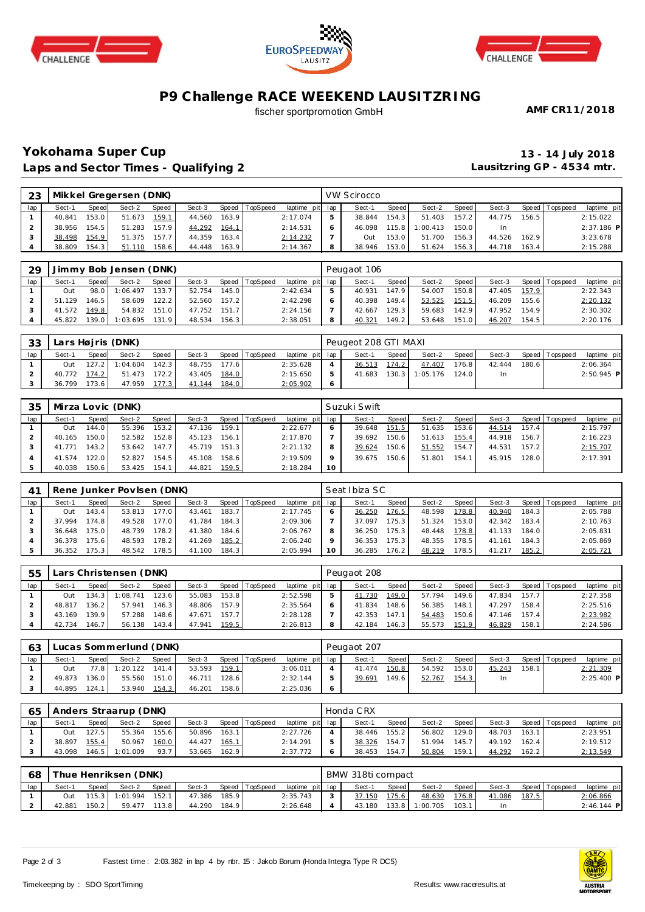





### **P9 Challenge RACE WEEKEND LAUSITZRING**

fischer sportpromotion GmbH

**AMF CR11/2018**

#### **Yokohama Super Cup 13 - 14 July 2018 Laps and Sector Times - Qualifying 2**

**Lausitzring GP - 4534 mtr.**

| 23  |              |       | Mikkel Gregersen (DNK) |          |        |       |                |                 |   | VW Scirocco |       |          |       |        |       |                   |             |
|-----|--------------|-------|------------------------|----------|--------|-------|----------------|-----------------|---|-------------|-------|----------|-------|--------|-------|-------------------|-------------|
| lap | Sect-1       | Speed | Sect-2                 | Speed    | Sect-3 |       | Speed TopSpeed | laptime pit lap |   | Sect-1      | Speed | Sect-2   | Speed | Sect-3 |       | Speed   Tops peed | laptime pit |
|     | 40.841       | 153.0 | 51.673                 | 159.1    | 44.560 | 163.9 |                | 2:17.074        | 5 | 38.844      | 154.3 | 51.403   | 157.2 | 44.775 | 156.5 |                   | 2:15.022    |
|     | 38.956 154.5 |       | 51.283                 | 157.9    | 44.292 | 164.1 |                | 2:14.531        |   | 46.098      | 115.8 | 1:00.413 | 150.0 | In.    |       |                   | 2:37.186 P  |
|     | 38.498       | 154.9 | 51.375                 | $-157.7$ | 44.359 | 163.4 |                | 2:14.232        |   | Out         | 153.0 | 51.700   | 156.3 | 44.526 | 162.9 |                   | 3:23.678    |
|     | 38.809       | 154.3 | 51.110                 | 158.6    | 44.448 | 163.9 |                | 2:14.367        | 8 | 38.946      | 153.0 | 51.624   | 156.3 | 44.718 | 163.4 |                   | 2:15.288    |

| 29  | Jimmy Bob Jensen (DNK)<br>Speed TopSpeed<br>Speed<br>Sect-2<br>Sect-3<br><b>Speed</b><br>Sect-1<br>133.7<br>98.0<br>1:06.497<br>145.0<br>52.754<br>Out<br>157.2<br>146.5<br>122.2<br>52.560<br>58.609<br>51.129 |       |          |       |        |       |  |                 | Peugaot 106 |       |        |       |        |       |                   |             |
|-----|-----------------------------------------------------------------------------------------------------------------------------------------------------------------------------------------------------------------|-------|----------|-------|--------|-------|--|-----------------|-------------|-------|--------|-------|--------|-------|-------------------|-------------|
| lap |                                                                                                                                                                                                                 |       |          |       |        |       |  | laptime pit lap | Sect-1      | Speed | Sect-2 | Speed | Sect-3 |       | Speed   Tops peed | laptime pit |
|     |                                                                                                                                                                                                                 |       |          |       |        |       |  | 2:42.634        | 40.931      | 147.9 | 54.007 | 150.8 | 47.405 | 157.9 |                   | 2:22.343    |
|     |                                                                                                                                                                                                                 |       |          |       |        |       |  | 2:42.298        | 40.398      | 149.4 | 53.525 | 151.5 | 46.209 | 155.6 |                   | 2:20.132    |
|     | 41.572                                                                                                                                                                                                          | 149.8 | 54.832   | 151.0 | 47.752 | 151.7 |  | 2:24.156        | 42.667      | 129.3 | 59.683 | 142.9 | 47.952 | 154.9 |                   | 2:30.302    |
|     | 45.822                                                                                                                                                                                                          | 139.0 | 1:03.695 | 131.9 | 48.534 | 156.3 |  | 2:38.051        | 40.321      | 149.2 | 53.648 | 151.0 | 46.207 | 154.5 |                   | 2:20.176    |

| 33  |              |       | Lars Højris (DNK)    |       |        |       |                |                 |   | Peugeot 208 GTI MAXI |       |          |       |        |       |                   |              |  |
|-----|--------------|-------|----------------------|-------|--------|-------|----------------|-----------------|---|----------------------|-------|----------|-------|--------|-------|-------------------|--------------|--|
| lap | Sect-1       | Speed | Sect-2               | Speed | Sect-3 |       | Speed TopSpeed | laptime pit lap |   | Sect-1               | Speed | Sect-2   | Speed | Sect-3 |       | Speed   Tops peed | laptime pit  |  |
|     | Out          |       | 127.2 1:04.604 142.3 |       | 48.755 | 177.6 |                | 2:35.628        |   | 36.513               | 174.2 | 47.407   | 176.8 | 42.444 | 180.6 |                   | 2:06.364     |  |
|     | 40.772 174.2 |       | 51.473               | 172.2 | 43.405 | 184.0 |                | 2:15.650        | 5 | 41.683               | 130.3 | 1:05.176 | 124.0 | In.    |       |                   | $2:50.945$ P |  |
|     | 36.799       | 173.6 | 47.959               | 177.3 | 41.144 | 184.0 |                | 2:05.902        |   |                      |       |          |       |        |       |                   |              |  |

| 35  |            |       | Mirza Lovic (DNK) |       |        |       |                |                 |              | Suzuki Swift |       |        |       |        |       |                 |             |
|-----|------------|-------|-------------------|-------|--------|-------|----------------|-----------------|--------------|--------------|-------|--------|-------|--------|-------|-----------------|-------------|
| lap | Sect-1     | Speed | Sect-2            | Speed | Sect-3 |       | Speed TopSpeed | laptime pit lap |              | Sect-1       | Speed | Sect-2 | Speed | Sect-3 |       | Speed Tops peed | laptime pit |
|     | Out        | 144.0 | 55.396            | 153.2 | 47.136 | 159.1 |                | 2:22.677        | <sup>6</sup> | 39.648       | 151.5 | 51.635 | 153.6 | 44.514 | 157.4 |                 | 2:15.797    |
|     | 40.165     | 150.0 | 52.582            | 152.8 | 45.123 | 156.1 |                | 2:17.870        |              | 39.692       | 150.6 | 51.613 | 155.4 | 44.918 | 156.7 |                 | 2:16.223    |
|     | .771<br>41 | 143.2 | 53.642            | 147.7 | 45.719 | 151.3 |                | 2:21.132        | 8            | 39.624       | 150.6 | 51.552 | 154.7 | 44.531 | 157.2 |                 | 2:15.707    |
|     | 41.574     | 122.0 | 52.827            | 154.5 | 45.108 | 158.6 |                | 2:19.509        | $\circ$      | 39.675       | 150.6 | 51.801 | 154.1 | 45.915 | 128.0 |                 | 2:17.391    |
|     | 40.038     | 150.6 | 53.425            | 154.1 | 44.821 | 159.5 |                | 2:18.284        | 10           |              |       |        |       |        |       |                 |             |

| 41  |        |                    | Rene Junker Povlsen (DNK) |       |        |       |                  |                 |         | Seat Ibiza SC |              |        |       |        |       |                   |             |
|-----|--------|--------------------|---------------------------|-------|--------|-------|------------------|-----------------|---------|---------------|--------------|--------|-------|--------|-------|-------------------|-------------|
| lap | Sect-1 | Speed              | Sect-2                    | Speed | Sect-3 |       | Speed   TopSpeed | laptime pit lap |         | Sect-1        | <b>Speed</b> | Sect-2 | Speed | Sect-3 |       | Speed   Tops peed | laptime pit |
|     | Out    | 143.4              | 53.813                    | 177.0 | 43.461 | 183.7 |                  | 2:17.745        | 6       | 36.250        | 176.5        | 48.598 | 178.8 | 40.940 | 184.3 |                   | 2:05.788    |
|     | 37.994 | 174.8              | 49.528                    | 177.0 | 41.784 | 184.3 |                  | 2:09.306        |         | 37.097        | 175.3        | 51.324 | 153.0 | 42.342 | 183.4 |                   | 2:10.763    |
|     | 36.648 | $175.0 +$          | 48.739                    | 178.2 | 41.380 | 184.6 |                  | 2:06.767        | 8       | 36.250        | 175.3        | 48.448 | 178.8 | 41.133 | 184.0 |                   | 2:05.831    |
|     | 36.378 | 75.6               | 48.593                    | 178.2 | 41.269 | 185.2 |                  | 2:06.240        | $\circ$ | 36.353        | 175.3        | 48.355 | 178.5 | 41.161 | 184.3 |                   | 2:05.869    |
|     | 36.352 | 175.3 <sub>1</sub> | 48.542                    | 178.5 | 41.100 | 184.3 |                  | 2:05.994        | 10      | 36.285        | 176.2        | 48.219 | 178.5 | 41.217 | 185.2 |                   | 2:05.721    |

| 55  |        |       | Lars Christensen (DNK) |       |        |       |                |                 | Peugaot 208 |       |        |       |        |       |                 |             |
|-----|--------|-------|------------------------|-------|--------|-------|----------------|-----------------|-------------|-------|--------|-------|--------|-------|-----------------|-------------|
| lap | Sect-1 | Speed | Sect-2                 | Speed | Sect-3 |       | Speed TopSpeed | laptime pit lap | Sect-1      | Speed | Sect-2 | Speed | Sect-3 |       | Speed Tops peed | laptime pit |
|     | Out    | 134.3 | 1:08.741               | 123.6 | 55.083 | 153.8 |                | 2:52.598        | 41.730      | 149.0 | 57.794 | 149.6 | 47.834 | 157.7 |                 | 2:27.358    |
|     | 48.817 | 136.2 | 57.941                 | 146.3 | 48.806 | 157.9 |                | 2:35.564        | 41.834      | 148.6 | 56.385 | 148.1 | 47.297 | 158.4 |                 | 2:25.516    |
|     | 43.169 | 139.9 | 57.288                 | 148.6 | 47.671 | 157.7 |                | 2:28.128        | 42.353      | 147.1 | 54.483 | 150.6 | 47.146 | 157.4 |                 | 2:23.982    |
|     | 42.734 | 146.7 | 56.138                 | 143.4 | 47.941 | 159.5 |                | 2:26.813        | 42.184      | 146.3 | 55.573 | 151.9 | 46.829 | 158.1 |                 | 2:24.586    |

|     |        |       | Lucas Sommerlund (DNK) |              |        |       |                |                 | Peugaot 207 |       |        |       |        |       |                |              |
|-----|--------|-------|------------------------|--------------|--------|-------|----------------|-----------------|-------------|-------|--------|-------|--------|-------|----------------|--------------|
| lap | Sect-1 | Speed | Sect-2                 | <b>Speed</b> | Sect-3 |       | Speed TopSpeed | laptime pit lap | Sect-1      | Speed | Sect-2 | Speed | Sect-3 |       | Speed Topspeed | laptime pit  |
|     | Out    | 77.8  | 1:20.122               | 141.4        | 53.593 | 159.1 |                | 3:06.011        | 41.474      | 150.8 | 54.592 | 153.0 | 45.243 | 158.1 |                | 2:21.309     |
|     | 49.873 | 136.0 | 55.560                 | 151.0        | 46.711 | 128.6 |                | 2:32.144        | 39.691      | 149.6 | 52.767 | 154.3 | In     |       |                | $2:25.400$ P |
|     | 44.895 | 124.1 | 53.940                 | 154.3        | 46.201 | 158.6 |                | 2:25.036        |             |       |        |       |        |       |                |              |

| 65  |        |       | Anders Straarup (DNK) |       |        |       |                |                 | Honda CRX |         |        |       |        |       |                   |             |
|-----|--------|-------|-----------------------|-------|--------|-------|----------------|-----------------|-----------|---------|--------|-------|--------|-------|-------------------|-------------|
| lap | Sect-1 | Speed | Sect-2                | Speed | Sect-3 |       | Speed TopSpeed | laptime pit lap | Sect-1    | Speed I | Sect-2 | Speed | Sect-3 |       | Speed   Tops peed | laptime pit |
|     | Out    | 127.5 | 55.364                | 155.6 | 50.896 | 163.1 |                | 2:27.726        | 38.446    | 155.2   | 56.802 | 129.0 | 48.703 | 163.1 |                   | 2:23.951    |
|     | 38.897 | 155.4 | 50.967                | 160.0 | 44.427 | 165.1 |                | 2:14.291        | 38.326    | 154.7   | 51.994 | 145.7 | 49.192 | 162.4 |                   | 2:19.512    |
|     | 43.098 | 146.5 | 1:01.009              | 93.7  | 53.665 | 162.9 |                | 2:37.772        | 38.453    | 154.7   | 50.804 | 159.1 | 44.292 | 162.2 |                   | 2:13.549    |

| 68  |        |              | Thue Henriksen (DNK) |       |        |       |                |                 |        | BMW 318ti compact |       |          |       |        |       |                 |              |
|-----|--------|--------------|----------------------|-------|--------|-------|----------------|-----------------|--------|-------------------|-------|----------|-------|--------|-------|-----------------|--------------|
| lap | Sect-1 | <b>Speed</b> | Sect-2               | Speed | Sect-3 |       | Speed TopSpeed | laptime pit lap |        | Sect-             | Speed | Sect-2   | Speed | Sect-3 |       | Speed Tops peed | laptime pit  |
|     | Out    |              | 115.3 1:01.994       | 152.1 | 47.386 | 185.9 |                | 2:35.743        | $\sim$ | 37.150            | 175.6 | 48.630   | 176.8 | 41.086 | 187.5 |                 | 2:06.866     |
|     | 42.881 | 150.2        | 59.477               | 113.8 | 44.290 | 184.9 |                | 2:26.648        |        | 43.180            | 133.8 | 1:00.705 | 103.1 | In     |       |                 | $2:46.144$ P |